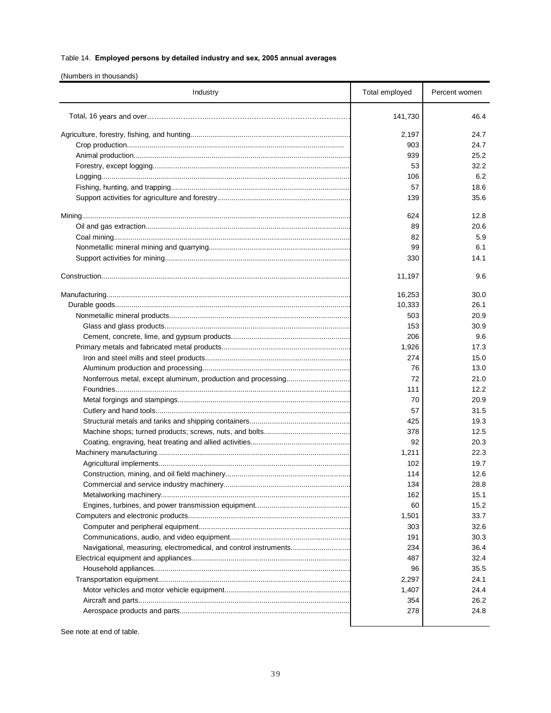(Numbers in thousands)

| Industry                                                         | Total employed | Percent women |
|------------------------------------------------------------------|----------------|---------------|
|                                                                  | 141,730        | 46.4          |
|                                                                  | 2,197          | 24.7          |
|                                                                  | 903            | 24.7          |
|                                                                  | 939            | 25.2          |
|                                                                  | 53             | 32.2          |
|                                                                  | 106            | 6.2           |
|                                                                  | 57             | 18.6          |
|                                                                  | 139            | 35.6          |
|                                                                  | 624            | 12.8          |
|                                                                  | 89             | 20.6          |
|                                                                  | 82             | 5.9           |
|                                                                  | 99             | 6.1           |
|                                                                  | 330            | 14.1          |
|                                                                  |                |               |
|                                                                  | 11,197         | 9.6           |
|                                                                  | 16,253         | 30.0          |
|                                                                  | 10,333         | 26.1          |
|                                                                  | 503            | 20.9          |
|                                                                  | 153            | 30.9          |
|                                                                  | 206            | 9.6           |
|                                                                  | 1,926          | 17.3          |
|                                                                  | 274            | 15.0          |
|                                                                  | 76             | 13.0          |
|                                                                  | 72             | 21.0          |
|                                                                  | 111            | 12.2          |
|                                                                  | 70             | 20.9          |
|                                                                  | 57             | 31.5          |
|                                                                  | 425            | 19.3          |
|                                                                  | 378            | 12.5          |
|                                                                  | 92             | 20.3          |
|                                                                  | 1,211          | 22.3          |
|                                                                  | 102            | 19.7          |
|                                                                  | 114            | 12.6          |
|                                                                  | 134            | 28.8          |
|                                                                  | 162            | 15.1          |
|                                                                  | 60             | 15.2          |
|                                                                  | 1,501          | 33.7          |
|                                                                  | 303            | 32.6          |
|                                                                  | 191            | 30.3          |
| Navigational, measuring, electromedical, and control instruments | 234            | 36.4          |
|                                                                  | 487            | 32.4          |
|                                                                  | 96             | 35.5          |
|                                                                  | 2,297          | 24.1          |
|                                                                  | 1,407          | 24.4          |
|                                                                  | 354            | 26.2          |
|                                                                  | 278            | 24.8          |
|                                                                  |                |               |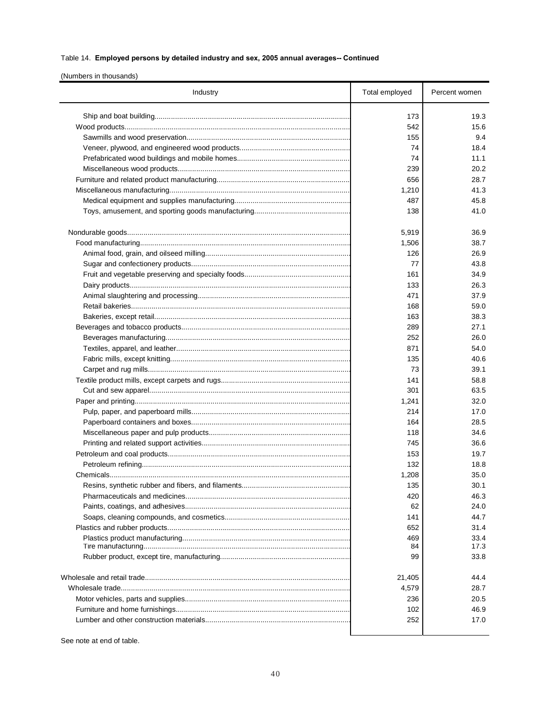## (Numbers in thousands)

| Industry | Total employed | Percent women |
|----------|----------------|---------------|
|          | 173            | 19.3          |
|          | 542            | 15.6          |
|          | 155            | 9.4           |
|          | 74             | 18.4          |
|          | 74             | 11.1          |
|          | 239            | 20.2          |
|          | 656            | 28.7          |
|          | 1,210          | 41.3          |
|          | 487            | 45.8          |
|          | 138            | 41.0          |
|          | 5,919          | 36.9          |
|          | 1,506          | 38.7          |
|          | 126            | 26.9          |
|          | 77             | 43.8          |
|          | 161            | 34.9          |
|          | 133            | 26.3          |
|          | 471            | 37.9          |
|          | 168            | 59.0          |
|          | 163            | 38.3          |
|          | 289            | 27.1          |
|          | 252            | 26.0          |
|          | 871            | 54.0          |
|          | 135            | 40.6          |
|          | 73             | 39.1          |
|          | 141            | 58.8          |
|          | 301            | 63.5          |
|          | 1,241          | 32.0          |
|          | 214            | 17.0          |
|          | 164            | 28.5          |
|          | 118            | 34.6          |
|          | 745            | 36.6          |
|          | 153            | 19.7          |
|          | 132            | 18.8          |
|          | 1,208          | 35.0          |
|          | 135            | 30.1          |
|          | 420            | 46.3          |
|          | 62             | 24.0          |
|          | 141            | 44.7          |
|          | 652            | 31.4          |
|          | 469            | 33.4          |
|          | 84             | 17.3          |
|          | 99             | 33.8          |
|          | 21,405         | 44.4          |
|          | 4,579          | 28.7          |
|          | 236            | 20.5          |
|          | 102            | 46.9          |
|          | 252            | 17.0          |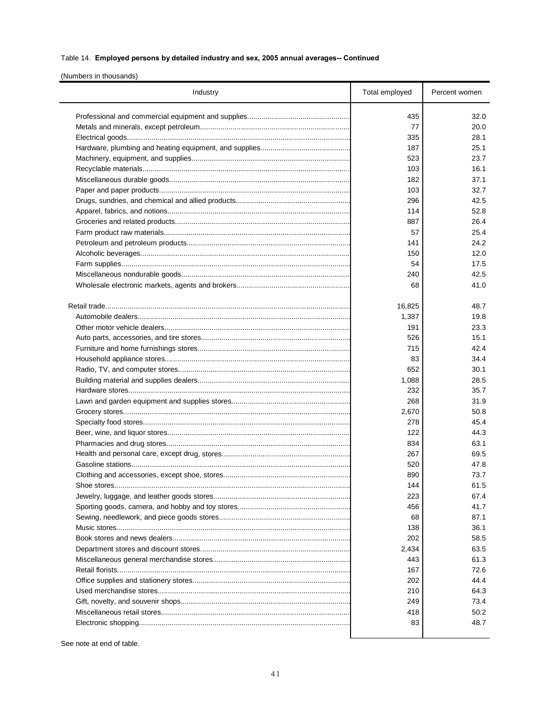(Numbers in thousands)

| Industry    | Total employed | Percent women |
|-------------|----------------|---------------|
|             | 435            | 32.0          |
|             | 77             | 20.0          |
|             | 335            | 28.1          |
|             | 187            | 25.1          |
|             | 523            | 23.7          |
|             | 103            | 16.1          |
|             | 182            | 37.1          |
|             | 103            | 32.7          |
|             | 296            | 42.5          |
|             | 114            | 52.8          |
|             | 887            | 26.4          |
|             | 57             | 25.4          |
|             | 141            | 24.2          |
|             | 150            | 12.0          |
|             | 54             | 17.5          |
|             | 240            | 42.5          |
|             | 68             | 41.0          |
|             |                |               |
|             | 16,825         | 48.7          |
|             | 1,337          | 19.8          |
|             | 191            | 23.3          |
|             | 526            | 15.1          |
|             | 715            | 42.4          |
|             | 83             | 34.4          |
|             | 652            | 30.1          |
|             | 1,088          | 28.5          |
|             | 232            | 35.7          |
|             | 268            | 31.9          |
|             | 2,670          | 50.8          |
|             | 278            | 45.4          |
|             | 122            | 44.3          |
|             | 834            | 63.1          |
|             | 267            | 69.5          |
|             | 520            | 47.8          |
|             | 890            | 73.7          |
| Shoe stores | 144            | 61.5          |
|             | 223            | 67.4          |
|             | 456            | 41.7          |
|             | 68             | 87.1          |
|             | 138            | 36.1          |
|             | 202            | 58.5          |
|             | 2,434          | 63.5          |
|             | 443            | 61.3          |
|             | 167            | 72.6          |
|             | 202            | 44.4          |
|             | 210            | 64.3          |
|             | 249            | 73.4          |
|             | 418            | 50.2          |
|             | 83             | 48.7          |
|             |                |               |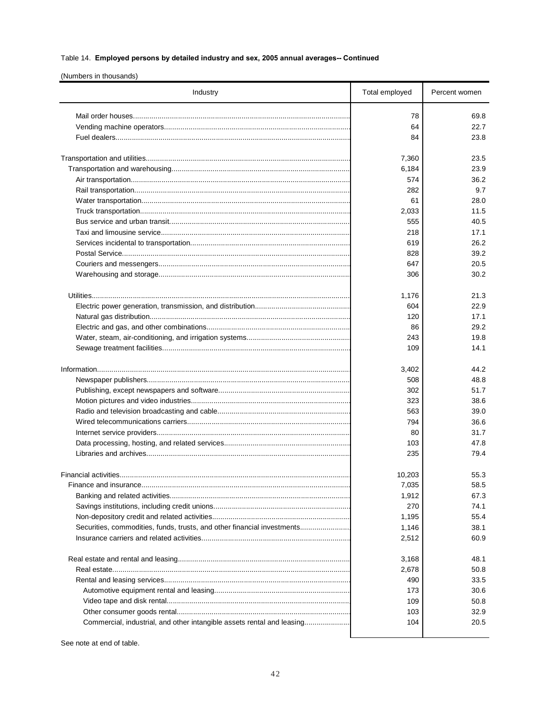(Numbers in thousands)

| Industry                                                                | Total employed | Percent women |
|-------------------------------------------------------------------------|----------------|---------------|
|                                                                         | 78             | 69.8          |
|                                                                         | 64             | 22.7          |
|                                                                         | 84             | 23.8          |
|                                                                         | 7,360          | 23.5          |
|                                                                         | 6,184          | 23.9          |
|                                                                         | 574            | 36.2          |
|                                                                         | 282            | 9.7           |
|                                                                         | 61             | 28.0          |
|                                                                         | 2,033          | 11.5          |
|                                                                         | 555            | 40.5          |
|                                                                         | 218            | 17.1          |
|                                                                         | 619            | 26.2          |
|                                                                         | 828            | 39.2          |
|                                                                         | 647            | 20.5          |
|                                                                         | 306            | 30.2          |
|                                                                         | 1,176          | 21.3          |
|                                                                         | 604            | 22.9          |
|                                                                         | 120            | 17.1          |
|                                                                         | 86             | 29.2          |
|                                                                         | 243            | 19.8          |
|                                                                         | 109            | 14.1          |
|                                                                         | 3,402          | 44.2          |
|                                                                         | 508            | 48.8          |
|                                                                         | 302            | 51.7          |
|                                                                         | 323            | 38.6          |
|                                                                         | 563            | 39.0          |
|                                                                         | 794            | 36.6          |
|                                                                         | 80             | 31.7          |
|                                                                         | 103            | 47.8          |
|                                                                         | 235            | 79.4          |
|                                                                         | 10,203         | 55.3          |
| Finance and insurance                                                   | 7,035          | 58.5          |
|                                                                         | 1,912          | 67.3          |
|                                                                         | 270            | 74.1          |
|                                                                         | 1,195          | 55.4          |
| Securities, commodities, funds, trusts, and other financial investments | 1,146          | 38.1          |
|                                                                         | 2,512          | 60.9          |
|                                                                         | 3,168          | 48.1          |
|                                                                         | 2,678          | 50.8          |
|                                                                         | 490            | 33.5          |
|                                                                         | 173            | 30.6          |
|                                                                         | 109            | 50.8          |
|                                                                         | 103            | 32.9          |
| Commercial, industrial, and other intangible assets rental and leasing  | 104            | 20.5          |
|                                                                         |                |               |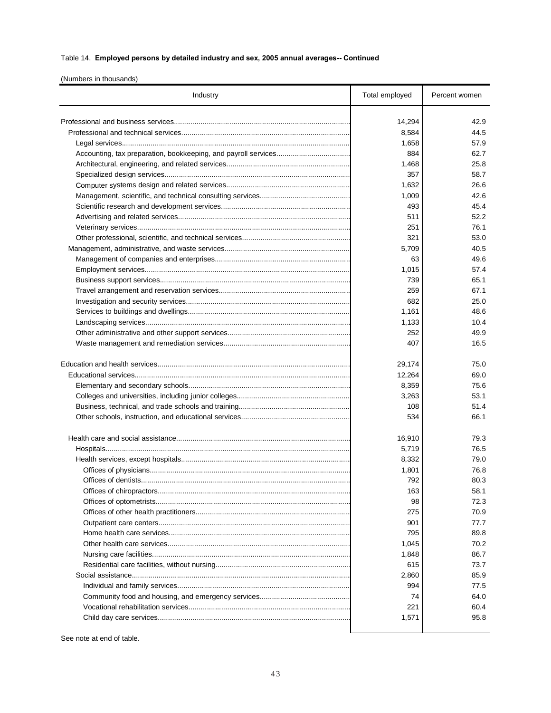(Numbers in thousands)

| Industry | Total employed | Percent women |
|----------|----------------|---------------|
|          | 14,294         | 42.9          |
|          | 8,584          | 44.5          |
|          | 1,658          | 57.9          |
|          | 884            | 62.7          |
|          | 1,468          | 25.8          |
|          | 357            | 58.7          |
|          | 1,632          | 26.6          |
|          | 1,009          | 42.6          |
|          | 493            | 45.4          |
|          | 511            | 52.2          |
|          | 251            | 76.1          |
|          | 321            | 53.0          |
|          | 5,709          |               |
|          |                | 40.5          |
|          | 63             | 49.6          |
|          | 1,015          | 57.4          |
|          | 739            | 65.1          |
|          | 259            | 67.1          |
|          | 682            | 25.0          |
|          | 1,161          | 48.6          |
|          | 1,133          | 10.4          |
|          | 252            | 49.9          |
|          | 407            | 16.5          |
|          | 29,174         | 75.0          |
|          | 12,264         | 69.0          |
|          | 8,359          | 75.6          |
|          | 3,263          | 53.1          |
|          | 108            | 51.4          |
|          | 534            | 66.1          |
|          | 16,910         | 79.3          |
|          | 5,719          | 76.5          |
|          | 8,332          | 79.0          |
|          | 1,801          | 76.8          |
|          | 792            | 80.3          |
|          | 163            | 58.1          |
|          | 98             | 72.3          |
|          | 275            | 70.9          |
|          | 901            | 77.7          |
|          | 795            | 89.8          |
|          | 1,045          | 70.2          |
|          | 1,848          | 86.7          |
|          | 615            | 73.7          |
|          | 2,860          | 85.9          |
|          | 994            | 77.5          |
|          | 74             | 64.0          |
|          | 221            | 60.4          |
|          | 1,571          | 95.8          |
|          |                |               |